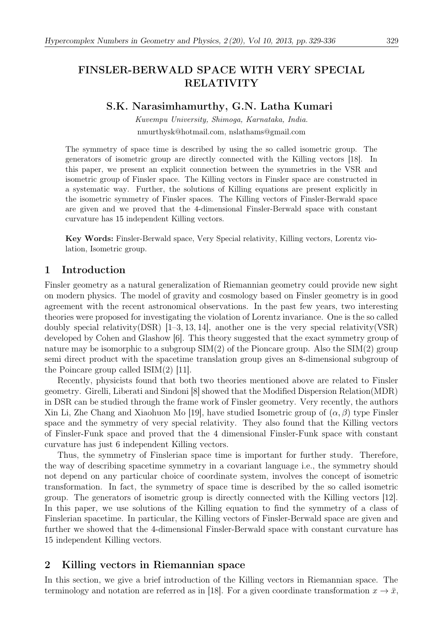# S.K. Narasimhamurthy, G.N. Latha Kumari

Kuvempu University, Shimoga, Karnataka, India. nmurthysk@hotmail.com, nslathams@gmail.com

The symmetry of space time is described by using the so called isometric group. The generators of isometric group are directly connected with the Killing vectors [18]. In this paper, we present an explicit connection between the symmetries in the VSR and isometric group of Finsler space. The Killing vectors in Finsler space are constructed in a systematic way. Further, the solutions of Killing equations are present explicitly in the isometric symmetry of Finsler spaces. The Killing vectors of Finsler-Berwald space are given and we proved that the 4-dimensional Finsler-Berwald space with constant curvature has 15 independent Killing vectors.

Key Words: Finsler-Berwald space, Very Special relativity, Killing vectors, Lorentz violation, Isometric group.

# 1 Introduction

Finsler geometry as a natural generalization of Riemannian geometry could provide new sight on modern physics. The model of gravity and cosmology based on Finsler geometry is in good agreement with the recent astronomical observations. In the past few years, two interesting theories were proposed for investigating the violation of Lorentz invariance. One is the so called doubly special relativity(DSR) [1–3, 13, 14], another one is the very special relativity(VSR) developed by Cohen and Glashow [6]. This theory suggested that the exact symmetry group of nature may be isomorphic to a subgroup  $SIM(2)$  of the Pioncare group. Also the  $SIM(2)$  group semi direct product with the spacetime translation group gives an 8-dimensional subgroup of the Poincare group called ISIM(2) [11].

Recently, physicists found that both two theories mentioned above are related to Finsler geometry. Girelli, Liberati and Sindoni [8] showed that the Modified Dispersion Relation(MDR) in DSR can be studied through the frame work of Finsler geometry. Very recently, the authors Xin Li, Zhe Chang and Xiaohuon Mo [19], have studied Isometric group of  $(\alpha, \beta)$  type Finsler space and the symmetry of very special relativity. They also found that the Killing vectors of Finsler-Funk space and proved that the 4 dimensional Finsler-Funk space with constant curvature has just 6 independent Killing vectors.

Thus, the symmetry of Finslerian space time is important for further study. Therefore, the way of describing spacetime symmetry in a covariant language i.e., the symmetry should not depend on any particular choice of coordinate system, involves the concept of isometric transformation. In fact, the symmetry of space time is described by the so called isometric group. The generators of isometric group is directly connected with the Killing vectors [12]. In this paper, we use solutions of the Killing equation to find the symmetry of a class of Finslerian spacetime. In particular, the Killing vectors of Finsler-Berwald space are given and further we showed that the 4-dimensional Finsler-Berwald space with constant curvature has 15 independent Killing vectors.

# 2 Killing vectors in Riemannian space

In this section, we give a brief introduction of the Killing vectors in Riemannian space. The terminology and notation are referred as in [18]. For a given coordinate transformation  $x \to \bar{x}$ ,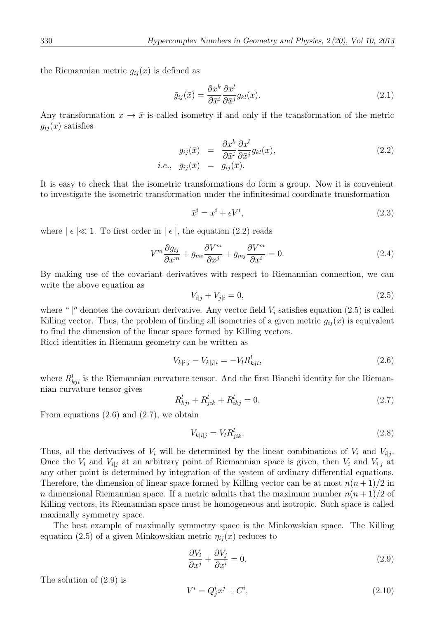the Riemannian metric  $g_{ij}(x)$  is defined as

$$
\bar{g}_{ij}(\bar{x}) = \frac{\partial x^k}{\partial \bar{x}^i} \frac{\partial x^l}{\partial \bar{x}^j} g_{kl}(x).
$$
\n(2.1)

Any transformation  $x \to \bar{x}$  is called isometry if and only if the transformation of the metric  $g_{ij}(x)$  satisfies

$$
g_{ij}(\bar{x}) = \frac{\partial x^k}{\partial \bar{x}^i} \frac{\partial x^l}{\partial \bar{x}^j} g_{kl}(x),
$$
  
i.e.,  $\bar{g}_{ij}(\bar{x}) = g_{ij}(\bar{x}).$  (2.2)

It is easy to check that the isometric transformations do form a group. Now it is convenient to investigate the isometric transformation under the infinitesimal coordinate transformation

$$
\bar{x}^i = x^i + \epsilon V^i,\tag{2.3}
$$

where  $|\epsilon| \ll 1$ . To first order in  $|\epsilon|$ , the equation (2.2) reads

$$
V^m \frac{\partial g_{ij}}{\partial x^m} + g_{mi} \frac{\partial V^m}{\partial x^j} + g_{mj} \frac{\partial V^m}{\partial x^i} = 0.
$$
 (2.4)

By making use of the covariant derivatives with respect to Riemannian connection, we can write the above equation as

$$
V_{i|j} + V_{j|i} = 0,\t\t(2.5)
$$

where " $\vert$ " denotes the covariant derivative. Any vector field  $V_i$  satisfies equation (2.5) is called Killing vector. Thus, the problem of finding all isometries of a given metric  $g_{ii}(x)$  is equivalent to find the dimension of the linear space formed by Killing vectors.

Ricci identities in Riemann geometry can be written as

$$
V_{k|i|j} - V_{k|j|i} = -V_l R_{kji}^l,
$$
\n(2.6)

where  $R_{kji}^l$  is the Riemannian curvature tensor. And the first Bianchi identity for the Riemannian curvature tensor gives

$$
R_{kji}^l + R_{jik}^l + R_{ikj}^l = 0.
$$
\n(2.7)

From equations (2.6) and (2.7), we obtain

$$
V_{k|i|j} = V_l R_{jik}^l. \tag{2.8}
$$

Thus, all the derivatives of  $V_i$  will be determined by the linear combinations of  $V_i$  and  $V_{i,j}$ . Once the  $V_i$  and  $V_{i,j}$  at an arbitrary point of Riemannian space is given, then  $V_i$  and  $V_{i,j}$  at any other point is determined by integration of the system of ordinary differential equations. Therefore, the dimension of linear space formed by Killing vector can be at most  $n(n+1)/2$  in n dimensional Riemannian space. If a metric admits that the maximum number  $n(n+1)/2$  of Killing vectors, its Riemannian space must be homogeneous and isotropic. Such space is called maximally symmetry space.

The best example of maximally symmetry space is the Minkowskian space. The Killing equation (2.5) of a given Minkowskian metric  $\eta_{ij}(x)$  reduces to

$$
\frac{\partial V_i}{\partial x^j} + \frac{\partial V_j}{\partial x^i} = 0.
$$
\n(2.9)

The solution of (2.9) is

$$
V^i = Q^i_j x^j + C^i,\tag{2.10}
$$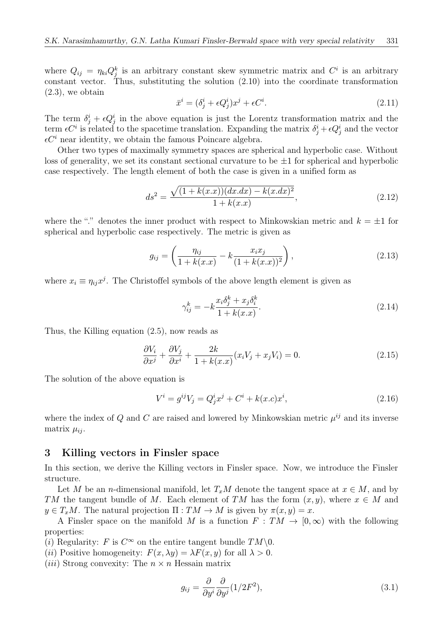where  $Q_{ij} = \eta_{ki} Q_j^k$  is an arbitrary constant skew symmetric matrix and  $C^i$  is an arbitrary constant vector. Thus, substituting the solution (2.10) into the coordinate transformation  $(2.3)$ , we obtain

$$
\bar{x}^i = (\delta^i_j + \epsilon Q^i_j)x^j + \epsilon C^i.
$$
\n(2.11)

The term  $\delta_j^i + \epsilon Q_j^i$  in the above equation is just the Lorentz transformation matrix and the term  $\epsilon C^i$  is related to the spacetime translation. Expanding the matrix  $\delta^i_j + \epsilon Q^i_j$  and the vector  $\epsilon C^i$  near identity, we obtain the famous Poincare algebra.

Other two types of maximally symmetry spaces are spherical and hyperbolic case. Without loss of generality, we set its constant sectional curvature to be  $\pm 1$  for spherical and hyperbolic case respectively. The length element of both the case is given in a unified form as

$$
ds^{2} = \frac{\sqrt{(1 + k(x.x))(dx. dx) - k(x.dx)^{2}}}{1 + k(x.x)},
$$
\n(2.12)

where the "." denotes the inner product with respect to Minkowskian metric and  $k = \pm 1$  for spherical and hyperbolic case respectively. The metric is given as

$$
g_{ij} = \left(\frac{\eta_{ij}}{1 + k(x.x)} - k \frac{x_i x_j}{(1 + k(x.x))^2}\right),
$$
\n(2.13)

where  $x_i \equiv \eta_{ij} x^j$ . The Christoffel symbols of the above length element is given as

$$
\gamma_{ij}^k = -k \frac{x_i \delta_j^k + x_j \delta_i^k}{1 + k(x.x)}.\tag{2.14}
$$

Thus, the Killing equation (2.5), now reads as

$$
\frac{\partial V_i}{\partial x^j} + \frac{\partial V_j}{\partial x^i} + \frac{2k}{1 + k(x \cdot x)} (x_i V_j + x_j V_i) = 0.
$$
\n(2.15)

The solution of the above equation is

$$
V^{i} = g^{ij}V_{j} = Q^{i}_{j}x^{j} + C^{i} + k(x.c)x^{i},
$$
\n(2.16)

where the index of Q and C are raised and lowered by Minkowskian metric  $\mu^{ij}$  and its inverse matrix  $\mu_{ii}$ .

#### 3 Killing vectors in Finsler space

In this section, we derive the Killing vectors in Finsler space. Now, we introduce the Finsler structure.

Let M be an n-dimensional manifold, let  $T_xM$  denote the tangent space at  $x \in M$ , and by TM the tangent bundle of M. Each element of TM has the form  $(x, y)$ , where  $x \in M$  and  $y \in T_xM$ . The natural projection  $\Pi: TM \to M$  is given by  $\pi(x, y) = x$ .

A Finsler space on the manifold M is a function  $F: TM \to [0,\infty)$  with the following properties:

(i) Regularity: F is  $C^{\infty}$  on the entire tangent bundle  $TM\setminus 0$ .

(*ii*) Positive homogeneity:  $F(x, \lambda y) = \lambda F(x, y)$  for all  $\lambda > 0$ .

(*iii*) Strong convexity: The  $n \times n$  Hessain matrix

$$
g_{ij} = \frac{\partial}{\partial y^i} \frac{\partial}{\partial y^j} (1/2F^2),\tag{3.1}
$$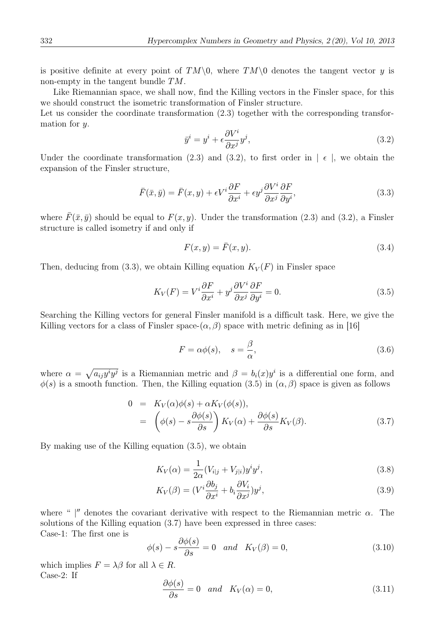is positive definite at every point of  $TM\setminus 0$ , where  $TM\setminus 0$  denotes the tangent vector y is non-empty in the tangent bundle TM.

Like Riemannian space, we shall now, find the Killing vectors in the Finsler space, for this we should construct the isometric transformation of Finsler structure.

Let us consider the coordinate transformation  $(2.3)$  together with the corresponding transformation for y.

$$
\bar{y}^i = y^i + \epsilon \frac{\partial V^i}{\partial x^j} y^j,\tag{3.2}
$$

Under the coordinate transformation (2.3) and (3.2), to first order in  $\vert \epsilon \vert$ , we obtain the expansion of the Finsler structure,

$$
\bar{F}(\bar{x}, \bar{y}) = \bar{F}(x, y) + \epsilon V^i \frac{\partial F}{\partial x^i} + \epsilon y^j \frac{\partial V^i}{\partial x^j} \frac{\partial F}{\partial y^i},\tag{3.3}
$$

where  $\bar{F}(\bar{x}, \bar{y})$  should be equal to  $F(x, y)$ . Under the transformation (2.3) and (3.2), a Finsler structure is called isometry if and only if

$$
F(x,y) = \bar{F}(x,y). \tag{3.4}
$$

Then, deducing from (3.3), we obtain Killing equation  $K_V(F)$  in Finsler space

$$
K_V(F) = V^i \frac{\partial F}{\partial x^i} + y^j \frac{\partial V^i}{\partial x^j} \frac{\partial F}{\partial y^i} = 0.
$$
\n(3.5)

Searching the Killing vectors for general Finsler manifold is a difficult task. Here, we give the Killing vectors for a class of Finsler space- $(\alpha, \beta)$  space with metric defining as in [16]

$$
F = \alpha \phi(s), \quad s = \frac{\beta}{\alpha}, \tag{3.6}
$$

where  $\alpha = \sqrt{a_{ij}y^i y^j}$  is a Riemannian metric and  $\beta = b_i(x)y^i$  is a differential one form, and  $\phi(s)$  is a smooth function. Then, the Killing equation (3.5) in  $(\alpha, \beta)$  space is given as follows

$$
0 = K_V(\alpha)\phi(s) + \alpha K_V(\phi(s)),
$$
  
= 
$$
\left(\phi(s) - s\frac{\partial\phi(s)}{\partial s}\right)K_V(\alpha) + \frac{\partial\phi(s)}{\partial s}K_V(\beta).
$$
 (3.7)

By making use of the Killing equation (3.5), we obtain

$$
K_V(\alpha) = \frac{1}{2\alpha} (V_{i|j} + V_{j|i}) y^i y^j,
$$
\n(3.8)

$$
K_V(\beta) = (V^i \frac{\partial b_j}{\partial x^i} + b_i \frac{\partial V_i}{\partial x^j}) y^j,
$$
\n(3.9)

where " |" denotes the covariant derivative with respect to the Riemannian metric  $\alpha$ . The solutions of the Killing equation (3.7) have been expressed in three cases: Case-1: The first one is

$$
\phi(s) - s \frac{\partial \phi(s)}{\partial s} = 0 \quad and \quad K_V(\beta) = 0,
$$
\n(3.10)

which implies  $F = \lambda \beta$  for all  $\lambda \in R$ . Case-2: If

$$
\frac{\partial \phi(s)}{\partial s} = 0 \quad and \quad K_V(\alpha) = 0,
$$
\n(3.11)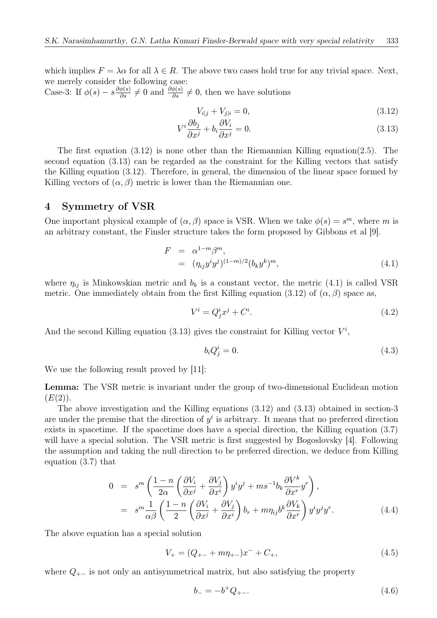which implies  $F = \lambda \alpha$  for all  $\lambda \in R$ . The above two cases hold true for any trivial space. Next, we merely consider the following case:

Case-3: If  $\phi(s) - s \frac{\partial \phi(s)}{\partial s} \neq 0$  and  $\frac{\partial \phi(s)}{\partial s} \neq 0$ , then we have solutions

$$
V_{i|j} + V_{j|i} = 0,\t\t(3.12)
$$

$$
V^i \frac{\partial b_j}{\partial x^j} + b_i \frac{\partial V_i}{\partial x^j} = 0.
$$
\n(3.13)

The first equation  $(3.12)$  is none other than the Riemannian Killing equation(2.5). The second equation (3.13) can be regarded as the constraint for the Killing vectors that satisfy the Killing equation (3.12). Therefore, in general, the dimension of the linear space formed by Killing vectors of  $(\alpha, \beta)$  metric is lower than the Riemannian one.

# 4 Symmetry of VSR

One important physical example of  $(\alpha, \beta)$  space is VSR. When we take  $\phi(s) = s^m$ , where m is an arbitrary constant, the Finsler structure takes the form proposed by Gibbons et al [9].

$$
F = \alpha^{1-m} \beta^m,
$$
  
=  $(\eta_{ij} y^i y^j)^{(1-m)/2} (b_k y^k)^m,$  (4.1)

where  $\eta_{ij}$  is Minkowskian metric and  $b_k$  is a constant vector, the metric (4.1) is called VSR metric. One immediately obtain from the first Killing equation (3.12) of  $(\alpha, \beta)$  space as,

$$
V^i = Q^i_j x^j + C^i. \tag{4.2}
$$

And the second Killing equation (3.13) gives the constraint for Killing vector  $V^i$ ,

$$
b_i Q_j^i = 0. \tag{4.3}
$$

We use the following result proved by [11]:

Lemma: The VSR metric is invariant under the group of two-dimensional Euclidean motion  $(E(2)).$ 

The above investigation and the Killing equations (3.12) and (3.13) obtained in section-3 are under the premise that the direction of  $y^i$  is arbitrary. It means that no preferred direction exists in spacetime. If the spacetime does have a special direction, the Killing equation (3.7) will have a special solution. The VSR metric is first suggested by Bogoslovsky [4]. Following the assumption and taking the null direction to be preferred direction, we deduce from Killing equation (3.7) that

$$
0 = sm \left( \frac{1 - n}{2\alpha} \left( \frac{\partial V_i}{\partial x^j} + \frac{\partial V_j}{\partial x^i} \right) y^i y^j + ms^{-1} b_k \frac{\partial V^k}{\partial x^r} y^r \right),
$$
  

$$
= sm \frac{1}{\alpha \beta} \left( \frac{1 - n}{2} \left( \frac{\partial V_i}{\partial x^j} + \frac{\partial V_j}{\partial x^i} \right) b_r + m \eta_{ij} b^k \frac{\partial V_k}{\partial x^r} \right) y^i y^j y^r.
$$
(4.4)

The above equation has a special solution

$$
V_{+} = (Q_{+-} + m\eta_{+-})x^{-} + C_{+}, \qquad (4.5)
$$

where  $Q_{+-}$  is not only an antisymmetrical matrix, but also satisfying the property

$$
b_- = -b^+ Q_{+-}.\tag{4.6}
$$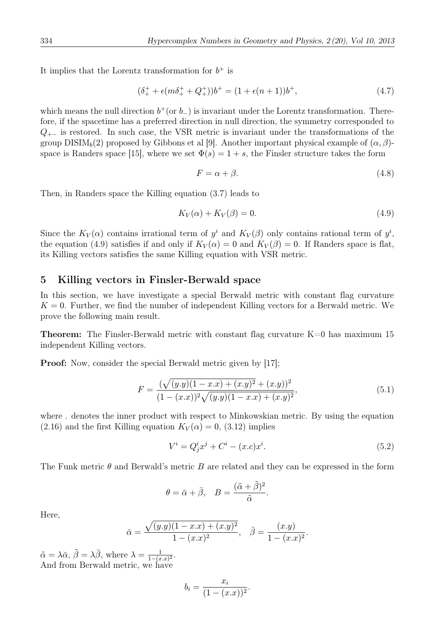It implies that the Lorentz transformation for  $b^+$  is

$$
(\delta_+^+ + \epsilon(m\delta_+^+ + Q_+^+))b^+ = (1 + \epsilon(n+1))b^+, \tag{4.7}
$$

which means the null direction  $b^+(\text{or } b_-)$  is invariant under the Lorentz transformation. Therefore, if the spacetime has a preferred direction in null direction, the symmetry corresponded to  $Q_{+-}$  is restored. In such case, the VSR metric is invariant under the transformations of the group  $DISIM_b(2)$  proposed by Gibbons et al [9]. Another important physical example of  $(\alpha, \beta)$ space is Randers space [15], where we set  $\Phi(s) = 1 + s$ , the Finsler structure takes the form

$$
F = \alpha + \beta. \tag{4.8}
$$

Then, in Randers space the Killing equation (3.7) leads to

$$
K_V(\alpha) + K_V(\beta) = 0. \tag{4.9}
$$

Since the  $K_V(\alpha)$  contains irrational term of  $y^i$  and  $K_V(\beta)$  only contains rational term of  $y^i$ , the equation (4.9) satisfies if and only if  $K_V(\alpha) = 0$  and  $K_V(\beta) = 0$ . If Randers space is flat, its Killing vectors satisfies the same Killing equation with VSR metric.

#### 5 Killing vectors in Finsler-Berwald space

In this section, we have investigate a special Berwald metric with constant flag curvature  $K = 0$ . Further, we find the number of independent Killing vectors for a Berwald metric. We prove the following main result.

**Theorem:** The Finsler-Berwald metric with constant flag curvature  $K=0$  has maximum 15 independent Killing vectors.

**Proof:** Now, consider the special Berwald metric given by [17];

$$
F = \frac{(\sqrt{(y.y)(1-x.x) + (x.y)^2 + (x.y))^2}}{(1-(x.x))^2\sqrt{(y.y)(1-x.x) + (x.y)^2}},
$$
\n(5.1)

where . denotes the inner product with respect to Minkowskian metric. By using the equation  $(2.16)$  and the first Killing equation  $K_V(\alpha) = 0$ ,  $(3.12)$  implies

$$
V^{i} = Q_{j}^{i}x^{j} + C^{i} - (x.c)x^{i}.
$$
\n(5.2)

The Funk metric  $\theta$  and Berwald's metric B are related and they can be expressed in the form

$$
\theta = \bar{\alpha} + \bar{\beta}, \quad B = \frac{(\tilde{\alpha} + \tilde{\beta})^2}{\tilde{\alpha}}.
$$

Here,

$$
\bar{\alpha} = \frac{\sqrt{(y.y)(1 - x.x) + (x.y)^2}}{1 - (x.x)^2}, \quad \bar{\beta} = \frac{(x.y)}{1 - (x.x)^2}.
$$

 $\tilde{\alpha} = \lambda \bar{\alpha}, \ \tilde{\beta} = \lambda \bar{\beta}, \text{ where } \lambda = \frac{1}{1 - (x \cdot x)^2}.$ And from Berwald metric, we have

$$
b_i = \frac{x_i}{(1-(x.x))^2}.
$$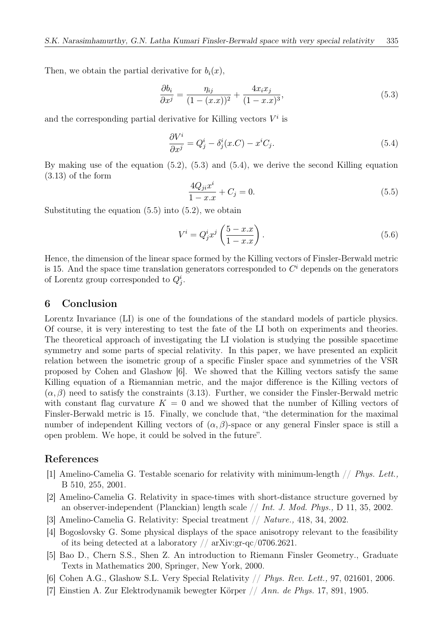Then, we obtain the partial derivative for  $b_i(x)$ ,

$$
\frac{\partial b_i}{\partial x^j} = \frac{\eta_{ij}}{(1 - (x \cdot x))^2} + \frac{4x_i x_j}{(1 - x \cdot x)^3},\tag{5.3}
$$

and the corresponding partial derivative for Killing vectors  $V^i$  is

$$
\frac{\partial V^i}{\partial x^j} = Q^i_j - \delta^i_j(x.C) - x^i C_j.
$$
\n(5.4)

By making use of the equation (5.2), (5.3) and (5.4), we derive the second Killing equation (3.13) of the form

$$
\frac{4Q_{ji}x^i}{1-x.x} + C_j = 0.
$$
\n(5.5)

Substituting the equation  $(5.5)$  into  $(5.2)$ , we obtain

$$
V^i = Q^i_j x^j \left(\frac{5 - x \cdot x}{1 - x \cdot x}\right). \tag{5.6}
$$

Hence, the dimension of the linear space formed by the Killing vectors of Finsler-Berwald metric is 15. And the space time translation generators corresponded to  $C<sup>i</sup>$  depends on the generators of Lorentz group corresponded to  $Q_j^i$ .

# 6 Conclusion

Lorentz Invariance (LI) is one of the foundations of the standard models of particle physics. Of course, it is very interesting to test the fate of the LI both on experiments and theories. The theoretical approach of investigating the LI violation is studying the possible spacetime symmetry and some parts of special relativity. In this paper, we have presented an explicit relation between the isometric group of a specific Finsler space and symmetries of the VSR proposed by Cohen and Glashow [6]. We showed that the Killing vectors satisfy the same Killing equation of a Riemannian metric, and the major difference is the Killing vectors of  $(\alpha, \beta)$  need to satisfy the constraints (3.13). Further, we consider the Finsler-Berwald metric with constant flag curvature  $K = 0$  and we showed that the number of Killing vectors of Finsler-Berwald metric is 15. Finally, we conclude that, "the determination for the maximal number of independent Killing vectors of  $(\alpha, \beta)$ -space or any general Finsler space is still a open problem. We hope, it could be solved in the future".

### References

- [1] Amelino-Camelia G. Testable scenario for relativity with minimum-length  $// Phys. Lett.,$ B 510, 255, 2001.
- [2] Amelino-Camelia G. Relativity in space-times with short-distance structure governed by an observer-independent (Planckian) length scale  $// Int. J. Mod. Phys., D 11, 35, 2002.$
- [3] Amelino-Camelia G. Relativity: Special treatment // Nature., 418, 34, 2002.
- [4] Bogoslovsky G. Some physical displays of the space anisotropy relevant to the feasibility of its being detected at a laboratory  $\frac{\pi}{4}$  arXiv:gr-qc $\frac{\pi}{0706.2621}$ .
- [5] Bao D., Chern S.S., Shen Z. An introduction to Riemann Finsler Geometry., Graduate Texts in Mathematics 200, Springer, New York, 2000.
- [6] Cohen A.G., Glashow S.L. Very Special Relativity // Phys. Rev. Lett., 97, 021601, 2006.
- [7] Einstien A. Zur Elektrodynamik bewegter Körper // Ann. de Phys. 17, 891, 1905.